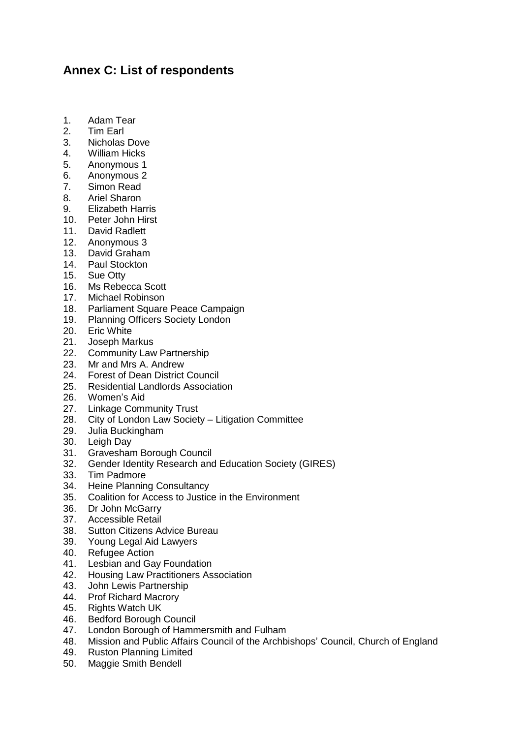## **Annex C: List of respondents**

- 1. Adam Tear
- 2. Tim Earl
- 3. Nicholas Dove
- 4. William Hicks
- 5. Anonymous 1
- 6. Anonymous 2
- 7. Simon Read
- 8. Ariel Sharon
- 9. Elizabeth Harris
- 10. Peter John Hirst
- 11. David Radlett
- 12. Anonymous 3
- 13. David Graham
- 14. Paul Stockton
- 15. Sue Otty
- 16. Ms Rebecca Scott
- 17. Michael Robinson
- 18. Parliament Square Peace Campaign
- 19. Planning Officers Society London
- 20. Eric White
- 21. Joseph Markus
- 22. Community Law Partnership
- 23. Mr and Mrs A. Andrew
- 24. Forest of Dean District Council
- 25. Residential Landlords Association
- 26. Women's Aid<br>27. Linkage Comi
- **Linkage Community Trust**
- 28. City of London Law Society Litigation Committee
- 29. Julia Buckingham
- 30. Leigh Day
- 31. Gravesham Borough Council
- 32. Gender Identity Research and Education Society (GIRES)
- 33. Tim Padmore
- 34. Heine Planning Consultancy
- 35. Coalition for Access to Justice in the Environment
- 36. Dr John McGarry
- 37. Accessible Retail
- 38. Sutton Citizens Advice Bureau
- 39. Young Legal Aid Lawyers
- 40. Refugee Action
- 41. Lesbian and Gay Foundation
- 42. Housing Law Practitioners Association
- 43. John Lewis Partnership
- 44. Prof Richard Macrory
- 45. Rights Watch UK<br>46. Bedford Borough
- Bedford Borough Council
- 47. London Borough of Hammersmith and Fulham
- 48. Mission and Public Affairs Council of the Archbishops' Council, Church of England
- 49. Ruston Planning Limited
- 50. Maggie Smith Bendell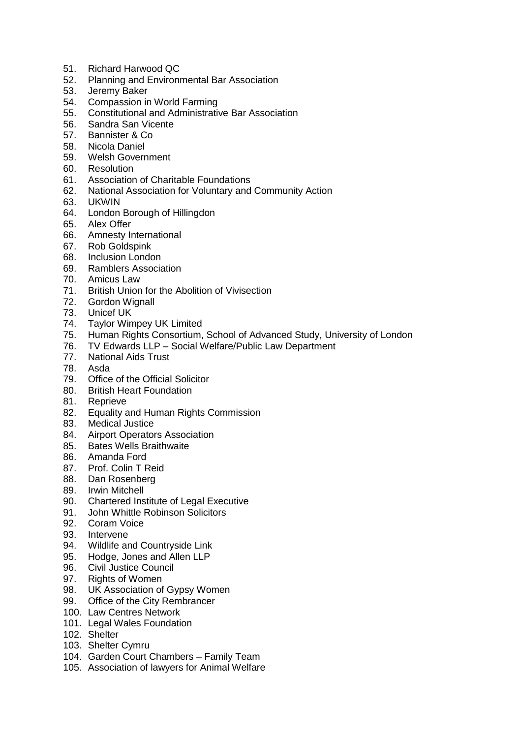- 51. Richard Harwood QC
- 52. Planning and Environmental Bar Association
- 53. Jeremy Baker
- 54. Compassion in World Farming<br>55. Constitutional and Administrative
- 55. Constitutional and Administrative Bar Association
- 56. Sandra San Vicente
- 57. Bannister & Co
- 58. Nicola Daniel
- 59. Welsh Government
- 60. Resolution
- 61. Association of Charitable Foundations
- 62. National Association for Voluntary and Community Action
- 63. UKWIN
- 64. London Borough of Hillingdon
- 65. Alex Offer
- 66. Amnesty International
- 67. Rob Goldspink
- 68. Inclusion London
- 69. Ramblers Association
- 70. Amicus Law
- 71. British Union for the Abolition of Vivisection
- 72. Gordon Wignall
- 73. Unicef UK
- 74. Taylor Wimpey UK Limited
- 75. Human Rights Consortium, School of Advanced Study, University of London
- 76. TV Edwards LLP Social Welfare/Public Law Department
- 77. National Aids Trust
- 78. Asda
- 79. Office of the Official Solicitor
- 80. British Heart Foundation
- 81. Reprieve
- 82. Equality and Human Rights Commission
- 83. Medical Justice
- 84. Airport Operators Association
- 85. Bates Wells Braithwaite
- 86. Amanda Ford
- 87. Prof. Colin T Reid
- 88. Dan Rosenberg
- 89. Irwin Mitchell
- 90. Chartered Institute of Legal Executive
- 91. John Whittle Robinson Solicitors
- 92. Coram Voice
- 93. Intervene<br>94. Wildlife ar
- Wildlife and Countryside Link
- 95. Hodge, Jones and Allen LLP
- 96. Civil Justice Council
- 97. Rights of Women
- 98. UK Association of Gypsy Women
- 99. Office of the City Rembrancer
- 100. Law Centres Network
- 101. Legal Wales Foundation
- 102. Shelter
- 103. Shelter Cymru
- 104. Garden Court Chambers Family Team
- 105. Association of lawyers for Animal Welfare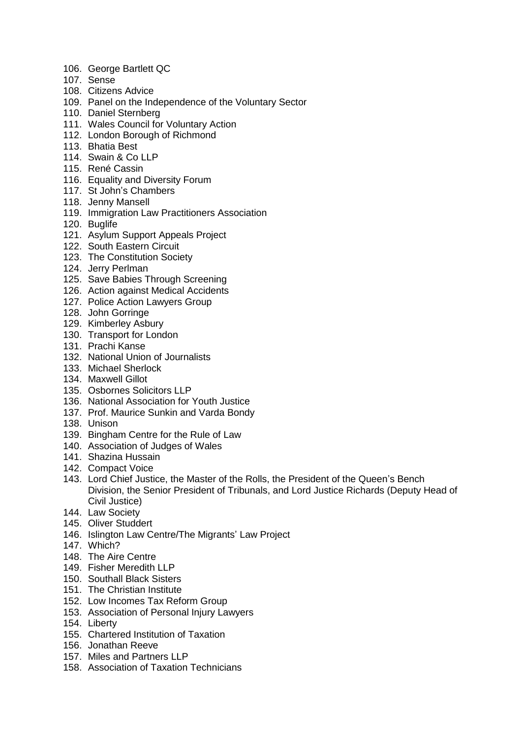- 106. George Bartlett QC
- 107. Sense
- 108. Citizens Advice
- 109. Panel on the Independence of the Voluntary Sector
- 110. Daniel Sternberg
- 111. Wales Council for Voluntary Action
- 112. London Borough of Richmond
- 113. Bhatia Best
- 114. Swain & Co LLP
- 115. René Cassin
- 116. Equality and Diversity Forum
- 117. St John's Chambers
- 118. Jenny Mansell
- 119. Immigration Law Practitioners Association
- 120. Buglife
- 121. Asylum Support Appeals Project
- 122. South Eastern Circuit
- 123. The Constitution Society
- 124. Jerry Perlman
- 125. Save Babies Through Screening
- 126. Action against Medical Accidents
- 127. Police Action Lawyers Group
- 128. John Gorringe
- 129. Kimberley Asbury
- 130. Transport for London
- 131. Prachi Kanse
- 132. National Union of Journalists
- 133. Michael Sherlock
- 134. Maxwell Gillot
- 135. Osbornes Solicitors LLP
- 136. National Association for Youth Justice
- 137. Prof. Maurice Sunkin and Varda Bondy
- 138. Unison
- 139. Bingham Centre for the Rule of Law
- 140. Association of Judges of Wales
- 141. Shazina Hussain
- 142. Compact Voice
- 143. Lord Chief Justice, the Master of the Rolls, the President of the Queen's Bench Division, the Senior President of Tribunals, and Lord Justice Richards (Deputy Head of Civil Justice)
- 144. Law Society
- 145. Oliver Studdert
- 146. Islington Law Centre/The Migrants' Law Project
- 147. Which?
- 148. The Aire Centre
- 149. Fisher Meredith LLP
- 150. Southall Black Sisters
- 151. The Christian Institute
- 152. Low Incomes Tax Reform Group
- 153. Association of Personal Injury Lawyers
- 154. Liberty
- 155. Chartered Institution of Taxation
- 156. Jonathan Reeve
- 157. Miles and Partners LLP
- 158. Association of Taxation Technicians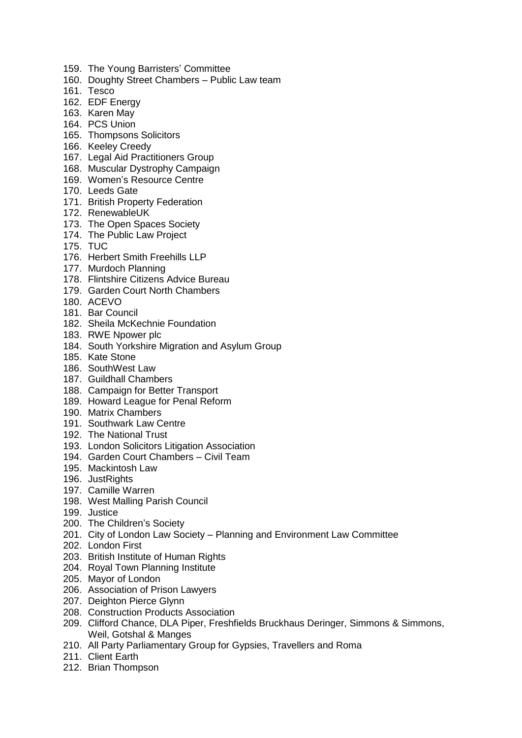- 159. The Young Barristers' Committee
- 160. Doughty Street Chambers Public Law team
- 161. Tesco
- 162. EDF Energy
- 163. Karen May
- 164. PCS Union
- 165. Thompsons Solicitors
- 166. Keeley Creedy
- 167. Legal Aid Practitioners Group
- 168. Muscular Dystrophy Campaign
- 169. Women's Resource Centre
- 170. Leeds Gate
- 171. British Property Federation
- 172. RenewableUK
- 173. The Open Spaces Society
- 174. The Public Law Project
- 175. TUC
- 176. Herbert Smith Freehills LLP
- 177. Murdoch Planning
- 178. Flintshire Citizens Advice Bureau
- 179. Garden Court North Chambers
- 180. ACEVO
- 181. Bar Council
- 182. Sheila McKechnie Foundation
- 183. RWE Npower plc
- 184. South Yorkshire Migration and Asylum Group
- 185. Kate Stone
- 186. SouthWest Law
- 187. Guildhall Chambers
- 188. Campaign for Better Transport
- 189. Howard League for Penal Reform
- 190. Matrix Chambers
- 191. Southwark Law Centre
- 192. The National Trust
- 193. London Solicitors Litigation Association
- 194. Garden Court Chambers Civil Team
- 195. Mackintosh Law
- 196. JustRights
- 197. Camille Warren
- 198. West Malling Parish Council
- 199. Justice
- 200. The Children's Society
- 201. City of London Law Society Planning and Environment Law Committee
- 202. London First
- 203. British Institute of Human Rights
- 204. Royal Town Planning Institute
- 205. Mayor of London
- 206. Association of Prison Lawyers
- 207. Deighton Pierce Glynn
- 208. Construction Products Association
- 209. Clifford Chance, DLA Piper, Freshfields Bruckhaus Deringer, Simmons & Simmons, Weil, Gotshal & Manges
- 210. All Party Parliamentary Group for Gypsies, Travellers and Roma
- 211. Client Earth
- 212. Brian Thompson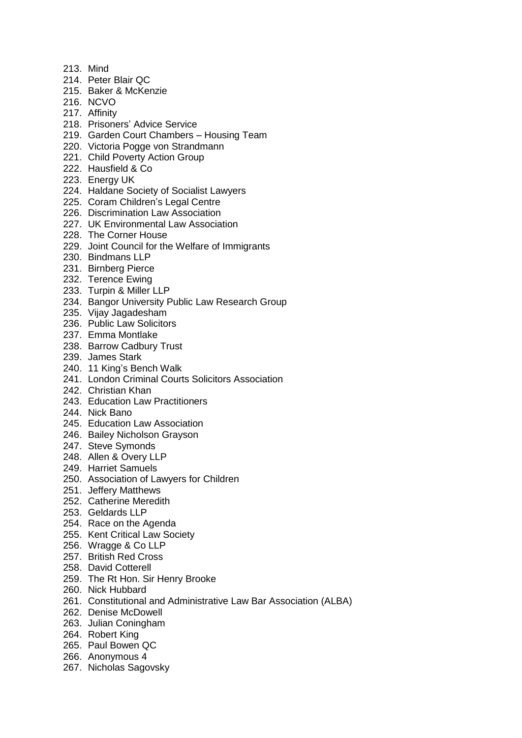- 213. Mind
- 214. Peter Blair QC
- 215. Baker & McKenzie
- 216. NCVO
- 217. Affinity
- 218. Prisoners' Advice Service
- 219. Garden Court Chambers Housing Team
- 220. Victoria Pogge von Strandmann
- 221. Child Poverty Action Group
- 222. Hausfield & Co
- 223. Energy UK
- 224. Haldane Society of Socialist Lawyers
- 225. Coram Children's Legal Centre
- 226. Discrimination Law Association
- 227. UK Environmental Law Association
- 228. The Corner House
- 229. Joint Council for the Welfare of Immigrants
- 230. Bindmans LLP
- 231. Birnberg Pierce
- 232. Terence Ewing
- 233. Turpin & Miller LLP
- 234. Bangor University Public Law Research Group
- 235. Vijay Jagadesham
- 236. Public Law Solicitors
- 237. Emma Montlake
- 238. Barrow Cadbury Trust
- 239. James Stark
- 240. 11 King's Bench Walk
- 241. London Criminal Courts Solicitors Association
- 242. Christian Khan
- 243. Education Law Practitioners
- 244. Nick Bano
- 245. Education Law Association
- 246. Bailey Nicholson Grayson
- 247. Steve Symonds
- 248. Allen & Overy LLP
- 249. Harriet Samuels
- 250. Association of Lawyers for Children
- 251. Jeffery Matthews
- 252. Catherine Meredith
- 253. Geldards LLP
- 254. Race on the Agenda
- 255. Kent Critical Law Society
- 256. Wragge & Co LLP
- 257. British Red Cross
- 258. David Cotterell
- 259. The Rt Hon. Sir Henry Brooke
- 260. Nick Hubbard
- 261. Constitutional and Administrative Law Bar Association (ALBA)
- 262. Denise McDowell
- 263. Julian Coningham
- 264. Robert King
- 265. Paul Bowen QC
- 266. Anonymous 4
- 267. Nicholas Sagovsky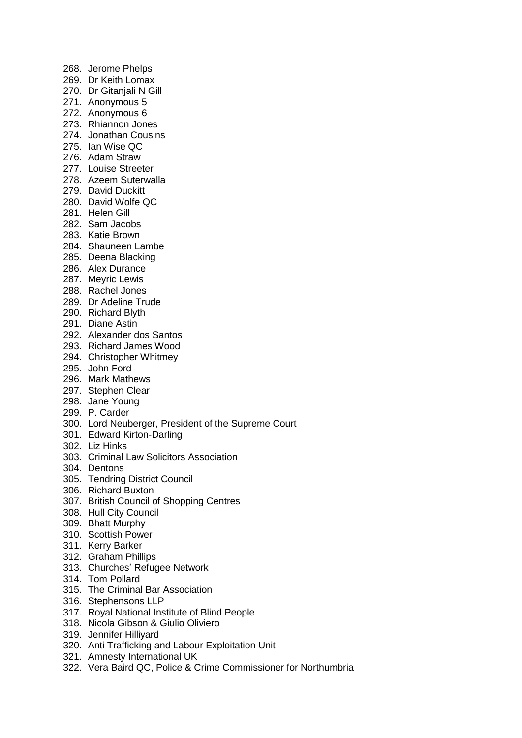268. Jerome Phelps 269. Dr Keith Lomax 270. Dr Gitanjali N Gill 271. Anonymous 5 272. Anonymous 6 273. Rhiannon Jones 274. Jonathan Cousins 275. Ian Wise QC 276. Adam Straw 277. Louise Streeter 278. Azeem Suterwalla 279. David Duckitt 280. David Wolfe QC 281. Helen Gill 282. Sam Jacobs 283. Katie Brown 284. Shauneen Lambe 285. Deena Blacking 286. Alex Durance 287. Meyric Lewis 288. Rachel Jones 289. Dr Adeline Trude 290. Richard Blyth 291. Diane Astin 292. Alexander dos Santos 293. Richard James Wood 294. Christopher Whitmey 295. John Ford 296. Mark Mathews 297. Stephen Clear 298. Jane Young 299. P. Carder 300. Lord Neuberger, President of the Supreme Court 301. Edward Kirton-Darling 302. Liz Hinks 303. Criminal Law Solicitors Association 304. Dentons 305. Tendring District Council 306. Richard Buxton 307. British Council of Shopping Centres 308. Hull City Council 309. Bhatt Murphy 310. Scottish Power 311. Kerry Barker 312. Graham Phillips 313. Churches' Refugee Network 314. Tom Pollard 315. The Criminal Bar Association

- 316. Stephensons LLP
- 317. Royal National Institute of Blind People
- 318. Nicola Gibson & Giulio Oliviero
- 319. Jennifer Hilliyard
- 320. Anti Trafficking and Labour Exploitation Unit
- 321. Amnesty International UK
- 322. Vera Baird QC, Police & Crime Commissioner for Northumbria